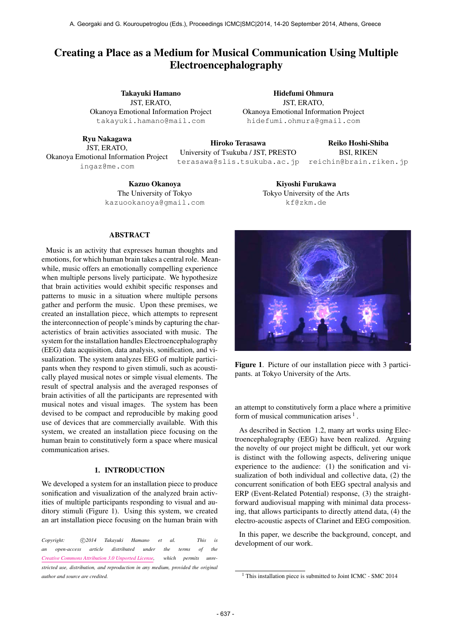# Creating a Place as a Medium for Musical Communication Using Multiple Electroencephalography

Takayuki Hamano JST, ERATO, Okanoya Emotional Information Project [takayuki.hamano@mail.com](mailto:takayuki.hamano@mail.com)

Ryu Nakagawa JST, ERATO, Okanoya Emotional Information Project [ingaz@me.com](mailto:ingaz@me.com)

Hidefumi Ohmura JST, ERATO, Okanoya Emotional Information Project [hidefumi.ohmura@gmail.com](mailto:hidefumi.ohmura@gmail.com)

> Kiyoshi Furukawa Tokyo University of the Arts [kf@zkm.de](mailto:kf@zkm.de)

Hiroko Terasawa University of Tsukuba / JST, PRESTO [terasawa@slis.tsukuba.ac.jp](mailto:terasawa@slis.tsukuba.ac.jp) Reiko Hoshi-Shiba BSI, RIKEN [reichin@brain.riken.jp](mailto:reichin@brain.riken.jp)

Kazuo Okanoya The University of Tokyo [kazuookanoya@gmail.com](mailto:kazuookanoya@gmail.com)

#### ABSTRACT

Music is an activity that expresses human thoughts and emotions, for which human brain takes a central role. Meanwhile, music offers an emotionally compelling experience when multiple persons lively participate. We hypothesize that brain activities would exhibit specific responses and patterns to music in a situation where multiple persons gather and perform the music. Upon these premises, we created an installation piece, which attempts to represent the interconnection of people's minds by capturing the characteristics of brain activities associated with music. The system for the installation handles Electroencephalography (EEG) data acquisition, data analysis, sonification, and visualization. The system analyzes EEG of multiple participants when they respond to given stimuli, such as acoustically played musical notes or simple visual elements. The result of spectral analysis and the averaged responses of brain activities of all the participants are represented with musical notes and visual images. The system has been devised to be compact and reproducible by making good use of devices that are commercially available. With this system, we created an installation piece focusing on the human brain to constitutively form a space where musical communication arises.

#### 1. INTRODUCTION

We developed a system for an installation piece to produce sonification and visualization of the analyzed brain activities of multiple participants responding to visual and auditory stimuli (Figure 1). Using this system, we created an art installation piece focusing on the human brain with

Copyright:  $\bigcirc$ 2014 Takayuki Hamano et al. This is *an open-access article distributed under the terms of the [Creative Commons Attribution 3.0 Unported License,](http://creativecommons.org/licenses/by/3.0/) which permits unrestricted use, distribution, and reproduction in any medium, provided the original author and source are credited.*



Figure 1. Picture of our installation piece with 3 participants. at Tokyo University of the Arts.

an attempt to constitutively form a place where a primitive form of musical communication arises  $<sup>1</sup>$ .</sup>

As described in Section 1.2, many art works using Electroencephalography (EEG) have been realized. Arguing the novelty of our project might be difficult, yet our work is distinct with the following aspects, delivering unique experience to the audience: (1) the sonification and visualization of both individual and collective data, (2) the concurrent sonification of both EEG spectral analysis and ERP (Event-Related Potential) response, (3) the straightforward audiovisual mapping with minimal data processing, that allows participants to directly attend data, (4) the electro-acoustic aspects of Clarinet and EEG composition.

In this paper, we describe the background, concept, and development of our work.

<sup>&</sup>lt;sup>1</sup> This installation piece is submitted to Joint ICMC - SMC 2014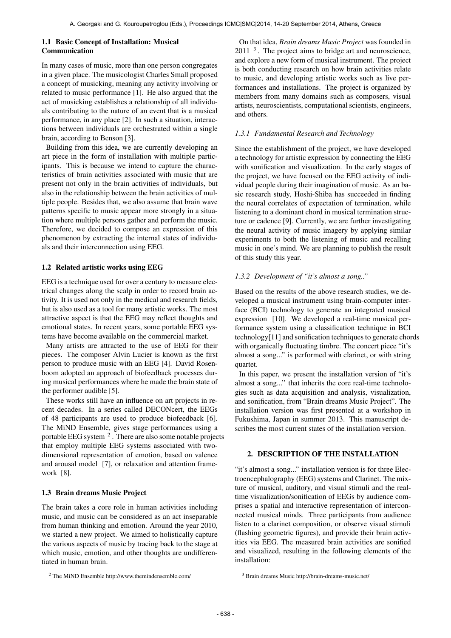#### 1.1 Basic Concept of Installation: Musical Communication

In many cases of music, more than one person congregates in a given place. The musicologist Charles Small proposed a concept of musicking, meaning any activity involving or related to music performance [1]. He also argued that the act of musicking establishes a relationship of all individuals contributing to the nature of an event that is a musical performance, in any place [2]. In such a situation, interactions between individuals are orchestrated within a single brain, according to Benson [3].

Building from this idea, we are currently developing an art piece in the form of installation with multiple participants. This is because we intend to capture the characteristics of brain activities associated with music that are present not only in the brain activities of individuals, but also in the relationship between the brain activities of multiple people. Besides that, we also assume that brain wave patterns specific to music appear more strongly in a situation where multiple persons gather and perform the music. Therefore, we decided to compose an expression of this phenomenon by extracting the internal states of individuals and their interconnection using EEG.

## 1.2 Related artistic works using EEG

EEG is a technique used for over a century to measure electrical changes along the scalp in order to record brain activity. It is used not only in the medical and research fields, but is also used as a tool for many artistic works. The most attractive aspect is that the EEG may reflect thoughts and emotional states. In recent years, some portable EEG systems have become available on the commercial market.

Many artists are attracted to the use of EEG for their pieces. The composer Alvin Lucier is known as the first person to produce music with an EEG [4]. David Rosenboom adopted an approach of biofeedback processes during musical performances where he made the brain state of the performer audible [5].

These works still have an influence on art projects in recent decades. In a series called DECONcert, the EEGs of 48 participants are used to produce biofeedback [6]. The MiND Ensemble, gives stage performances using a portable EEG system  $^2$  . There are also some notable projects that employ multiple EEG systems associated with twodimensional representation of emotion, based on valence and arousal model [7], or relaxation and attention framework [8].

# 1.3 Brain dreams Music Project

The brain takes a core role in human activities including music, and music can be considered as an act inseparable from human thinking and emotion. Around the year 2010, we started a new project. We aimed to holistically capture the various aspects of music by tracing back to the stage at which music, emotion, and other thoughts are undifferentiated in human brain.

On that idea, *Brain dreams Music Project* was founded in  $2011<sup>3</sup>$ . The project aims to bridge art and neuroscience, and explore a new form of musical instrument. The project is both conducting research on how brain activities relate to music, and developing artistic works such as live performances and installations. The project is organized by members from many domains such as composers, visual artists, neuroscientists, computational scientists, engineers, and others.

## *1.3.1 Fundamental Research and Technology*

Since the establishment of the project, we have developed a technology for artistic expression by connecting the EEG with sonification and visualization. In the early stages of the project, we have focused on the EEG activity of individual people during their imagination of music. As an basic research study, Hoshi-Shiba has succeeded in finding the neural correlates of expectation of termination, while listening to a dominant chord in musical termination structure or cadence [9]. Currently, we are further investigating the neural activity of music imagery by applying similar experiments to both the listening of music and recalling music in one's mind. We are planning to publish the result of this study this year.

## *1.3.2 Development of "it's almost a song.."*

Based on the results of the above research studies, we developed a musical instrument using brain-computer interface (BCI) technology to generate an integrated musical expression [10]. We developed a real-time musical performance system using a classification technique in BCI technology[11] and sonification techniques to generate chords with organically fluctuating timbre. The concert piece "it's almost a song..." is performed with clarinet, or with string quartet.

In this paper, we present the installation version of "it's almost a song..." that inherits the core real-time technologies such as data acquisition and analysis, visualization, and sonification, from "Brain dreams Music Project". The installation version was first presented at a workshop in Fukushima, Japan in summer 2013. This manuscript describes the most current states of the installation version.

## 2. DESCRIPTION OF THE INSTALLATION

"it's almost a song..." installation version is for three Electroencephalography (EEG) systems and Clarinet. The mixture of musical, auditory, and visual stimuli and the realtime visualization/sonification of EEGs by audience comprises a spatial and interactive representation of interconnected musical minds. Three participants from audience listen to a clarinet composition, or observe visual stimuli (flashing geometric figures), and provide their brain activities via EEG. The measured brain activities are sonified and visualized, resulting in the following elements of the installation:

<sup>2</sup> The MiND Ensemble<http://www.themindensemble.com/>

<sup>3</sup> Brain dreams Music<http://brain-dreams-music.net/>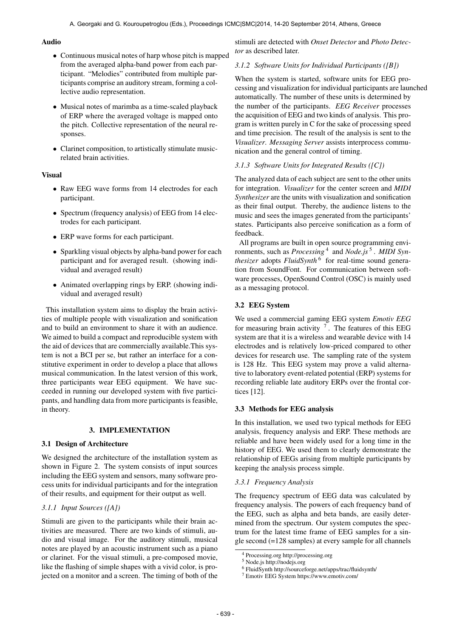#### Audio

- Continuous musical notes of harp whose pitch is mapped from the averaged alpha-band power from each participant. "Melodies" contributed from multiple participants comprise an auditory stream, forming a collective audio representation.
- Musical notes of marimba as a time-scaled playback of ERP where the averaged voltage is mapped onto the pitch. Collective representation of the neural responses.
- Clarinet composition, to artistically stimulate musicrelated brain activities.

## Visual

- Raw EEG wave forms from 14 electrodes for each participant.
- Spectrum (frequency analysis) of EEG from 14 electrodes for each participant.
- ERP wave forms for each participant.
- Sparkling visual objects by alpha-band power for each participant and for averaged result. (showing individual and averaged result)
- Animated overlapping rings by ERP. (showing individual and averaged result)

This installation system aims to display the brain activities of multiple people with visualization and sonification and to build an environment to share it with an audience. We aimed to build a compact and reproducible system with the aid of devices that are commercially available.This system is not a BCI per se, but rather an interface for a constitutive experiment in order to develop a place that allows musical communication. In the latest version of this work, three participants wear EEG equipment. We have succeeded in running our developed system with five participants, and handling data from more participants is feasible, in theory.

## 3. IMPLEMENTATION

## 3.1 Design of Architecture

We designed the architecture of the installation system as shown in Figure 2. The system consists of input sources including the EEG system and sensors, many software process units for individual participants and for the integration of their results, and equipment for their output as well.

## *3.1.1 Input Sources ([A])*

Stimuli are given to the participants while their brain activities are measured. There are two kinds of stimuli, audio and visual image. For the auditory stimuli, musical notes are played by an acoustic instrument such as a piano or clarinet. For the visual stimuli, a pre-composed movie, like the flashing of simple shapes with a vivid color, is projected on a monitor and a screen. The timing of both of the stimuli are detected with *Onset Detector* and *Photo Detector* as described later.

## *3.1.2 Software Units for Individual Participants ([B])*

When the system is started, software units for EEG processing and visualization for individual participants are launched automatically. The number of these units is determined by the number of the participants. *EEG Receiver* processes the acquisition of EEG and two kinds of analysis. This program is written purely in C for the sake of processing speed and time precision. The result of the analysis is sent to the *Visualizer*. *Messaging Server* assists interprocess communication and the general control of timing.

## *3.1.3 Software Units for Integrated Results ([C])*

The analyzed data of each subject are sent to the other units for integration. *Visualizer* for the center screen and *MIDI Synthesizer* are the units with visualization and sonification as their final output. Thereby, the audience listens to the music and sees the images generated from the participants' states. Participants also perceive sonification as a form of feedback.

All programs are built in open source programming environments, such as *Processing* 4 and *Node.js* 5 . *MIDI Synthesizer* adopts *FluidSynth*<sup>6</sup> for real-time sound generation from SoundFont. For communication between software processes, OpenSound Control (OSC) is mainly used as a messaging protocol.

## 3.2 EEG System

We used a commercial gaming EEG system *Emotiv EEG* for measuring brain activity  $7$ . The features of this EEG system are that it is a wireless and wearable device with 14 electrodes and is relatively low-priced compared to other devices for research use. The sampling rate of the system is 128 Hz. This EEG system may prove a valid alternative to laboratory event-related potential (ERP) systems for recording reliable late auditory ERPs over the frontal cortices [12].

## 3.3 Methods for EEG analysis

In this installation, we used two typical methods for EEG analysis, frequency analysis and ERP. These methods are reliable and have been widely used for a long time in the history of EEG. We used them to clearly demonstrate the relationship of EEGs arising from multiple participants by keeping the analysis process simple.

## *3.3.1 Frequency Analysis*

The frequency spectrum of EEG data was calculated by frequency analysis. The powers of each frequency band of the EEG, such as alpha and beta bands, are easily determined from the spectrum. Our system computes the spectrum for the latest time frame of EEG samples for a single second (=128 samples) at every sample for all channels

<sup>4</sup> Processing.org<http://processing.org>

<sup>5</sup> Node.js<http://nodejs.org>

<sup>6</sup> FluidSynth<http://sourceforge.net/apps/trac/fluidsynth/>

<sup>7</sup> Emotiv EEG System<https://www.emotiv.com/>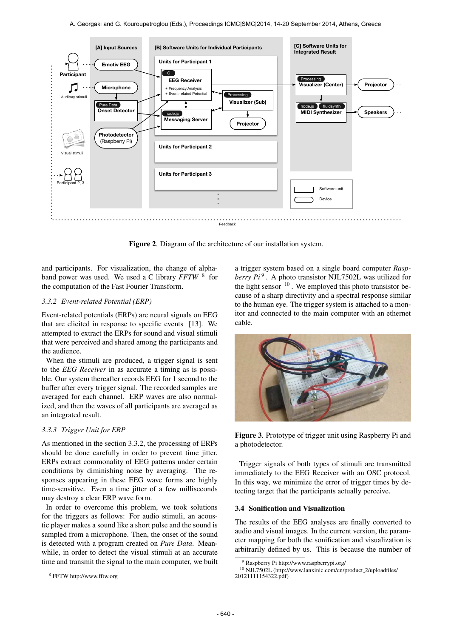

Figure 2. Diagram of the architecture of our installation system.

and participants. For visualization, the change of alphaband power was used. We used a C library *FFTW* <sup>8</sup> for the computation of the Fast Fourier Transform.

## *3.3.2 Event-related Potential (ERP)*

Event-related potentials (ERPs) are neural signals on EEG that are elicited in response to specific events [13]. We attempted to extract the ERPs for sound and visual stimuli that were perceived and shared among the participants and the audience.

When the stimuli are produced, a trigger signal is sent to the *EEG Receiver* in as accurate a timing as is possible. Our system thereafter records EEG for 1 second to the buffer after every trigger signal. The recorded samples are averaged for each channel. ERP waves are also normalized, and then the waves of all participants are averaged as an integrated result.

# *3.3.3 Trigger Unit for ERP*

As mentioned in the section 3.3.2, the processing of ERPs should be done carefully in order to prevent time jitter. ERPs extract commonality of EEG patterns under certain conditions by diminishing noise by averaging. The responses appearing in these EEG wave forms are highly time-sensitive. Even a time jitter of a few milliseconds may destroy a clear ERP wave form.

In order to overcome this problem, we took solutions for the triggers as follows: For audio stimuli, an acoustic player makes a sound like a short pulse and the sound is sampled from a microphone. Then, the onset of the sound is detected with a program created on *Pure Data*. Meanwhile, in order to detect the visual stimuli at an accurate time and transmit the signal to the main computer, we built a trigger system based on a single board computer *Rasp*berry  $Pi^9$ . A photo transistor NJL7502L was utilized for the light sensor  $10$ . We employed this photo transistor because of a sharp directivity and a spectral response similar to the human eye. The trigger system is attached to a monitor and connected to the main computer with an ethernet cable.



Figure 3. Prototype of trigger unit using Raspberry Pi and a photodetector.

Trigger signals of both types of stimuli are transmitted immediately to the EEG Receiver with an OSC protocol. In this way, we minimize the error of trigger times by detecting target that the participants actually perceive.

## 3.4 Sonification and Visualization

The results of the EEG analyses are finally converted to audio and visual images. In the current version, the parameter mapping for both the sonification and visualization is arbitrarily defined by us. This is because the number of

<sup>8</sup> FFTW<http://www.fftw.org>

<sup>9</sup> Raspberry Pi<http://www.raspberrypi.org/>

<sup>10</sup> NJL7502L [\(http://www.lanxinic.com/cn/product](http://www.lanxinic.com/cn/product_2/uploadfiles/20121111154322.pdf) 2/uploadfiles/ [20121111154322.pdf\)](http://www.lanxinic.com/cn/product_2/uploadfiles/20121111154322.pdf)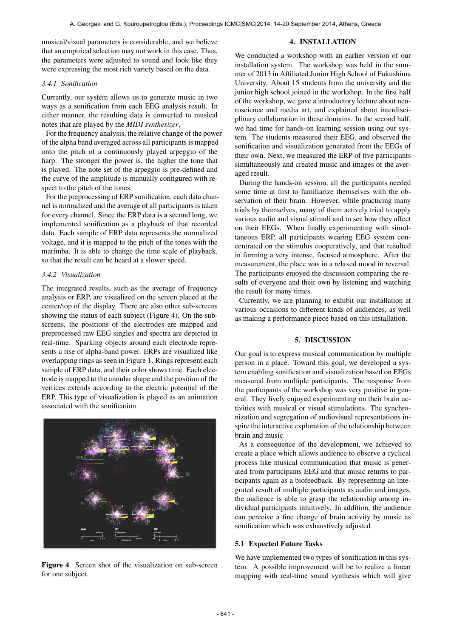musical/visual parameters is considerable, and we believe that an empirical selection may not work in this case. Thus, the parameters were adjusted to sound and look like they were expressing the most rich variety based on the data.

#### *3.4.1 Sonification*

Currently, our system allows us to generate music in two ways as a sonification from each EEG analysis result. In either manner, the resulting data is converted to musical notes that are played by the *MIDI synthesizer*.

For the frequency analysis, the relative change of the power of the alpha band averaged across all participants is mapped onto the pitch of a continuously played arpeggio of the harp. The stronger the power is, the higher the tone that is played. The note set of the arpeggio is pre-defined and the curve of the amplitude is manually configured with respect to the pitch of the tones.

For the preprocessing of ERP sonification, each data channel is normalized and the average of all participants is taken for every channel. Since the ERP data is a second long, we implemented sonification as a playback of that recorded data. Each sample of ERP data represents the normalized voltage, and it is mapped to the pitch of the tones with the marimba. It is able to change the time scale of playback, so that the result can be heard at a slower speed.

#### *3.4.2 Visualization*

The integrated results, such as the average of frequency analysis or ERP, are visualized on the screen placed at the center/top of the display. There are also other sub-screens showing the status of each subject (Figure 4). On the subscreens, the positions of the electrodes are mapped and preprocessed raw EEG singles and spectra are depicted in real-time. Sparking objects around each electrode represents a rise of alpha-band power. ERPs are visualized like overlapping rings as seen in Figure 1. Rings represent each sample of ERP data, and their color shows time. Each electrode is mapped to the annular shape and the position of the vertices extends according to the electric potential of the ERP. This type of visualization is played as an animation associated with the sonification.



Figure 4. Screen shot of the visualization on sub-screen for one subject.

#### 4. INSTALLATION

We conducted a workshop with an earlier version of our installation system. The workshop was held in the summer of 2013 in Affiliated Junior High School of Fukushima University. About 15 students from the university and the junior high school joined in the workshop. In the first half of the workshop, we gave a introductory lecture about neuroscience and media art, and explained about interdisciplinary collaboration in these domains. In the second half, we had time for hands-on learning session using our system. The students measured their EEG, and observed the sonification and visualization generated from the EEGs of their own. Next, we measured the ERP of five participants simultaneously and created music and images of the averaged result.

During the hands-on session, all the participants needed some time at first to familiarize themselves with the observation of their brain. However, while practicing many trials by themselves, many of them actively tried to apply various audio and visual stimuli and to see how they affect on their EEGs. When finally experimenting with simultaneous ERP, all participants wearing EEG system concentrated on the stimulus cooperatively, and that resulted in forming a very intense, focused atmosphere. After the measurement, the place was in a relaxed mood in reversal. The participants enjoyed the discussion comparing the results of everyone and their own by listening and watching the result for many times.

Currently, we are planning to exhibit our installation at various occasions to different kinds of audiences, as well as making a performance piece based on this installation.

#### 5. DISCUSSION

Our goal is to express musical communication by multiple person in a place. Toward this goal, we developed a system enabling sonification and visualization based on EEGs measured from multiple participants. The response from the participants of the workshop was very positive in general. They lively enjoyed experimenting on their brain activities with musical or visual stimulations. The synchronization and segregation of audiovisual representations inspire the interactive exploration of the relationship between brain and music.

As a consequence of the development, we achieved to create a place which allows audience to observe a cyclical process like musical communication that music is generated from participants EEG and that music returns to participants again as a biofeedback. By representing an integrated result of multiple participants as audio and images, the audience is able to grasp the relationship among individual participants intuitively. In addition, the audience can perceive a fine change of brain activity by music as sonification which was exhaustively adjusted.

#### 5.1 Expected Future Tasks

We have implemented two types of sonification in this system. A possible improvement will be to realize a linear mapping with real-time sound synthesis which will give